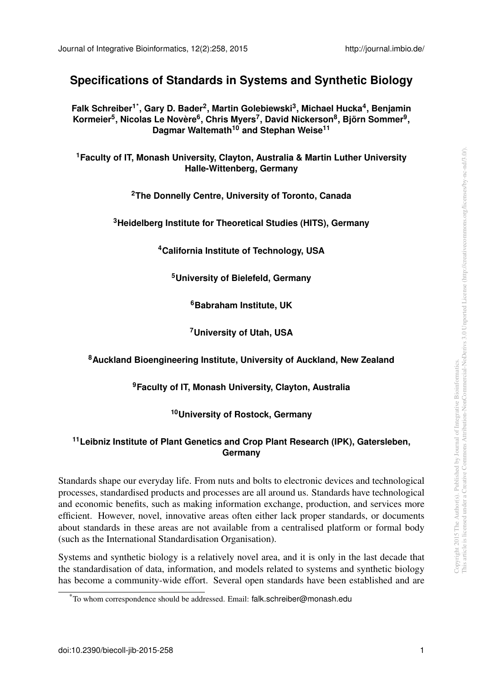# **Specifications of Standards in Systems and Synthetic Biology**

**Falk Schreiber[1](#page-0-0)[\\*](#page-0-1) , Gary D. Bader[2](#page-0-2) , Martin Golebiewski[3](#page-0-3) , Michael Hucka[4](#page-0-4) , Benjamin**  $\mathbf{K}$ ormeier $^{5}$  $^{5}$  $^{5}$ , Nicolas Le Novère $^{6}$  $^{6}$  $^{6}$ , Chris Myers $^{7}$  $^{7}$  $^{7}$ , David Nickerson $^{8}$  $^{8}$  $^{8}$ , Björn Sommer $^{9}$  $^{9}$  $^{9}$ , **Dagmar Waltemath[10](#page-0-10) and Stephan Weise[11](#page-0-11)**

<span id="page-0-2"></span><span id="page-0-0"></span>**<sup>1</sup>Faculty of IT, Monash University, Clayton, Australia & Martin Luther University Halle-Wittenberg, Germany**

**<sup>2</sup>The Donnelly Centre, University of Toronto, Canada**

<span id="page-0-5"></span><span id="page-0-4"></span><span id="page-0-3"></span>**<sup>3</sup>Heidelberg Institute for Theoretical Studies (HITS), Germany**

**<sup>4</sup>California Institute of Technology, USA**

**<sup>5</sup>University of Bielefeld, Germany**

**<sup>6</sup>Babraham Institute, UK**

**<sup>7</sup>University of Utah, USA**

### <span id="page-0-9"></span><span id="page-0-8"></span><span id="page-0-7"></span><span id="page-0-6"></span>**<sup>8</sup>Auckland Bioengineering Institute, University of Auckland, New Zealand**

**<sup>9</sup>Faculty of IT, Monash University, Clayton, Australia**

### **<sup>10</sup>University of Rostock, Germany**

#### <span id="page-0-11"></span><span id="page-0-10"></span>**<sup>11</sup>Leibniz Institute of Plant Genetics and Crop Plant Research (IPK), Gatersleben, Germany**

Standards shape our everyday life. From nuts and bolts to electronic devices and technological processes, standardised products and processes are all around us. Standards have technological and economic benefits, such as making information exchange, production, and services more efficient. However, novel, innovative areas often either lack proper standards, or documents about standards in these areas are not available from a centralised platform or formal body (such as the International Standardisation Organisation).

Systems and synthetic biology is a relatively novel area, and it is only in the last decade that the standardisation of data, information, and models related to systems and synthetic biology has become a community-wide effort. Several open standards have been established and are

<span id="page-0-1"></span><sup>\*</sup>To whom correspondence should be addressed. Email: falk.schreiber@monash.edu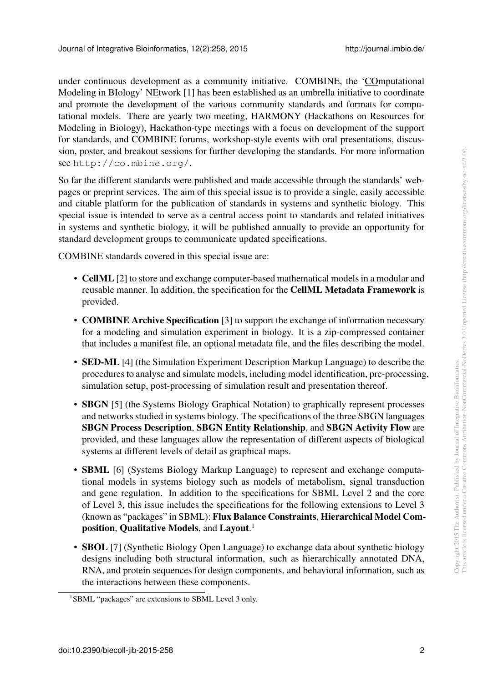under continuous development as a community initiative. COMBINE, the 'COmputational Modeling in BIology' NEtwork [\[1\]](#page-2-0) has been established as an umbrella initiative to coordinate and promote the development of the various community standards and formats for computational models. There are yearly two meeting, HARMONY (Hackathons on Resources for Modeling in Biology), Hackathon-type meetings with a focus on development of the support for standards, and COMBINE forums, workshop-style events with oral presentations, discussion, poster, and breakout sessions for further developing the standards. For more information see <http://co.mbine.org/>.

So far the different standards were published and made accessible through the standards' webpages or preprint services. The aim of this special issue is to provide a single, easily accessible and citable platform for the publication of standards in systems and synthetic biology. This special issue is intended to serve as a central access point to standards and related initiatives in systems and synthetic biology, it will be published annually to provide an opportunity for standard development groups to communicate updated specifications.

COMBINE standards covered in this special issue are:

- CellML [\[2\]](#page-2-1) to store and exchange computer-based mathematical models in a modular and reusable manner. In addition, the specification for the CellML Metadata Framework is provided.
- **COMBINE Archive Specification** [\[3\]](#page-2-2) to support the exchange of information necessary for a modeling and simulation experiment in biology. It is a zip-compressed container that includes a manifest file, an optional metadata file, and the files describing the model.
- SED-ML [\[4\]](#page-2-3) (the Simulation Experiment Description Markup Language) to describe the procedures to analyse and simulate models, including model identification, pre-processing, simulation setup, post-processing of simulation result and presentation thereof.
- **SBGN** [\[5\]](#page-2-4) (the Systems Biology Graphical Notation) to graphically represent processes and networks studied in systems biology. The specifications of the three SBGN languages SBGN Process Description, SBGN Entity Relationship, and SBGN Activity Flow are provided, and these languages allow the representation of different aspects of biological systems at different levels of detail as graphical maps.
- **SBML** [\[6\]](#page-2-5) (Systems Biology Markup Language) to represent and exchange computational models in systems biology such as models of metabolism, signal transduction and gene regulation. In addition to the specifications for SBML Level 2 and the core of Level 3, this issue includes the specifications for the following extensions to Level 3 (known as "packages" in SBML): Flux Balance Constraints, Hierarchical Model Composition, Qualitative Models, and Layout. [1](#page-1-0)
- **SBOL** [\[7\]](#page-2-6) (Synthetic Biology Open Language) to exchange data about synthetic biology designs including both structural information, such as hierarchically annotated DNA, RNA, and protein sequences for design components, and behavioral information, such as the interactions between these components.

<span id="page-1-0"></span><sup>&</sup>lt;sup>1</sup>SBML "packages" are extensions to SBML Level 3 only.